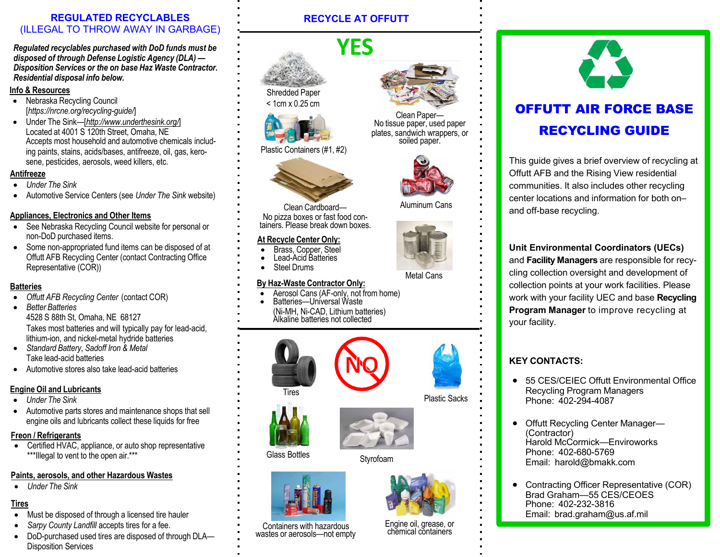# **REGULATED RECYCLABLES**(ILLEGAL TO THROW AWAY IN GARBAGE)

*Regulated recyclables purchased with DoD funds must be disposed of through Defense Logistic Agency (DLA) — Disposition Services or the on base Haz Waste Contractor. Residential disposal info below.*

#### **Info & Resources**

- Nebraska Recycling Council [*https://nrcne.org/recycling-guide/*]
- Under The Sink—[*http://www.underthesink.org/*] Located at 4001 S 120th Street, Omaha, NE Accepts most household and automotive chemicals including paints, stains, acids/bases, antifreeze, oil, gas, kerosene, pesticides, aerosols, weed killers, etc.

#### **Antifreeze**

- e *Under The Sink*
- e Automotive Service Centers (see *Under The Sink* website)

## **Appliances, Electronics and Other Items**

- See Nebraska Recycling Council website for personal or non-DoD purchased items.
- Some non-appropriated fund items can be disposed of at Offutt AFB Recycling Center (contact Contracting Office Representative (COR))

#### **Batteries**

- $\bullet$ *Offutt AFB Recycling Center* (contact COR)
- *Better Batteries* 4528 S 88th St, Omaha, NE 68127 Takes most batteries and will typically pay for lead-acid, lithium-ion, and nickel-metal hydride batteries
- e *Standard Battery*, *Sadoff Iron & Metal* Take lead-acid batteries
- Automotive stores also take lead-acid batteries

#### **Engine Oil and Lubricants**

- *Under The Sink*
- Automotive parts stores and maintenance shops that sell engine oils and lubricants collect these liquids for free

#### **Freon / Refrigerants**

 Certified HVAC, appliance, or auto shop representative \*\*\*Illegal to vent to the open air.\*\*\*

## **Paints, aerosols, and other Hazardous Wastes**

*Under The Sink*

# **Tires**

- $\bullet$ Must be disposed of through a licensed tire hauler
- $\bullet$ *Sarpy County Landfill* accepts tires for <sup>a</sup> fee.
- DoD-purchased used tires are disposed of through DLA— Disposition Services

# **RECYCLE AT OFFUTT**





< 1cm x 0.25 cm



Plastic Containers (#1, #2)



Clean Cardboard—No pizza boxes or fast food con-<br>tainers. Please break down boxes.

#### **At Recycle Center Only:**

- $\bullet$ Brass, Copper, Steel Lead-Acid Batteries
- 0
- 0 Steel Drums

#### **By Haz-Waste Contractor Only:**

- c ● Aerosol Cans (AF-only, not from home)<br>● Batteries—Universal Waste
- c (Ni-MH, Ni-CAD, Lithium batteries)<br>Alkaline batteries not collected



Glass Bottles





Containers with hazardous wastes or aerosols—not empty



Clean Paper— No tissue paper, used paper plates, sandwich wrappers, or soiled paper.



Aluminum Cans



Metal Cans



This guide gives a brief overview of recycling at Offutt AFB and the Rising View residential communities. It also includes other recycling center locations and information for both on–and off-base recycling.

**Unit Environmental Coordinators (UECs)**  and **Facility Managers** are responsible for recycling collection oversight and development of collection points at your work facilities. Please work with your facility UEC and base **Recycling Program Manager** to improve recycling at your facility.

# **KEY CONTACTS:**

- . 55 CES/CEIEC Offutt Environmental Office Recycling Program Managers Phone: 402-294-4087
- . Offutt Recycling Center Manager— (Contractor) Harold McCormick—EnviroworksPhone: 402-680-5769Email: harold@bmakk.com
- $\bullet$  Contracting Officer Representative (COR) Brad Graham—55 CES/CEOESPhone: 402-232-3816Email: brad.graham@us.af.mil



Plastic Sacks



Styrofoam



Engine oil, grease, or chemical containers